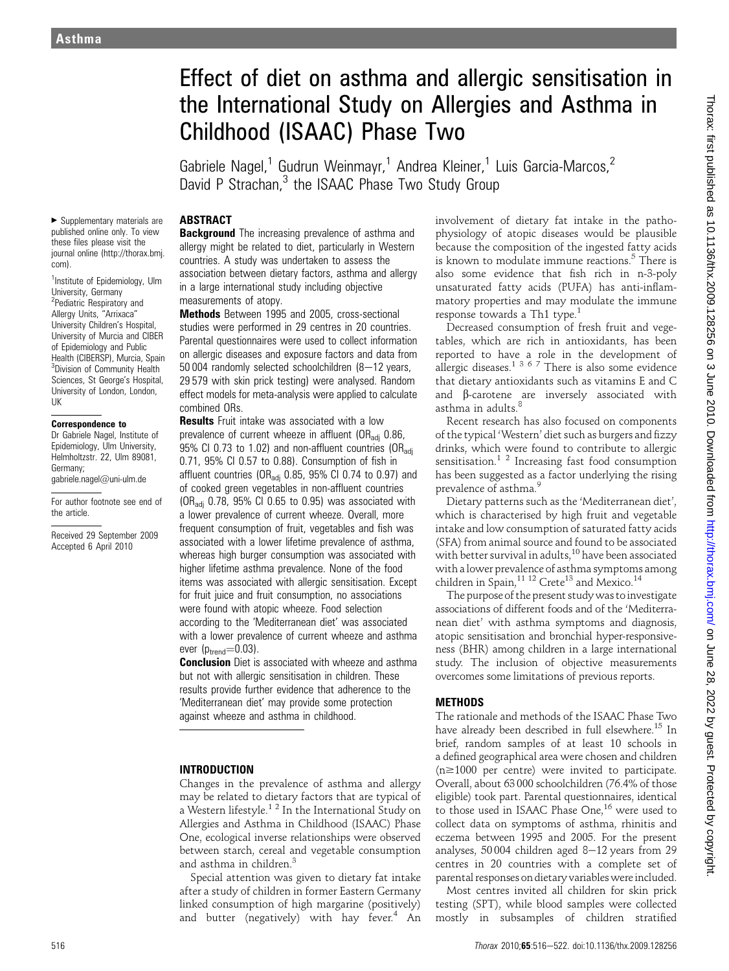com).

UK

Germany;

the article.

University, Germany <sup>2</sup>Pediatric Respiratory and Allergy Units, "Arrixaca" University Children's Hospital, University of Murcia and CIBER of Epidemiology and Public Health (CIBERSP), Murcia, Spain <sup>3</sup>Division of Community Health Sciences, St George's Hospital, University of London, London,

Correspondence to Dr Gabriele Nagel, Institute of Epidemiology, Ulm University, Helmholtzstr. 22, Ulm 89081,

gabriele.nagel@uni-ulm.de For author footnote see end of

Received 29 September 2009 Accepted 6 April 2010

# Effect of diet on asthma and allergic sensitisation in the International Study on Allergies and Asthma in Childhood (ISAAC) Phase Two

Gabriele Nagel,<sup>1</sup> Gudrun Weinmayr,<sup>1</sup> Andrea Kleiner,<sup>1</sup> Luis Garcia-Marcos,<sup>2</sup> David P Strachan,<sup>3</sup> the ISAAC Phase Two Study Group

# **ABSTRACT**

**Background** The increasing prevalence of asthma and allergy might be related to diet, particularly in Western countries. A study was undertaken to assess the association between dietary factors, asthma and allergy in a large international study including objective  $\blacktriangleright$  Supplementary materials are published online only. To view these files please visit the journal online (http://thorax.bmj. <sup>1</sup>Institute of Epidemiology, Ulm

# measurements of atopy.

Methods Between 1995 and 2005, cross-sectional studies were performed in 29 centres in 20 countries. Parental questionnaires were used to collect information on allergic diseases and exposure factors and data from  $50004$  randomly selected schoolchildren  $(8-12 \text{ years})$ 29 579 with skin prick testing) were analysed. Random effect models for meta-analysis were applied to calculate combined ORs.

**Results** Fruit intake was associated with a low prevalence of current wheeze in affluent (OR<sub>adi</sub> 0.86, 95% CI 0.73 to 1.02) and non-affluent countries (OR<sub>adi</sub> 0.71, 95% CI 0.57 to 0.88). Consumption of fish in affluent countries (OR<sub>adi</sub> 0.85, 95% CI 0.74 to 0.97) and of cooked green vegetables in non-affluent countries  $(OR_{\text{adj}} 0.78, 95\% \text{ Cl } 0.65 \text{ to } 0.95)$  was associated with a lower prevalence of current wheeze. Overall, more frequent consumption of fruit, vegetables and fish was associated with a lower lifetime prevalence of asthma, whereas high burger consumption was associated with higher lifetime asthma prevalence. None of the food items was associated with allergic sensitisation. Except for fruit juice and fruit consumption, no associations were found with atopic wheeze. Food selection according to the 'Mediterranean diet' was associated with a lower prevalence of current wheeze and asthma ever  $(p_{trend}=0.03)$ .

**Conclusion** Diet is associated with wheeze and asthma but not with allergic sensitisation in children. These results provide further evidence that adherence to the 'Mediterranean diet' may provide some protection against wheeze and asthma in childhood.

# INTRODUCTION

Changes in the prevalence of asthma and allergy may be related to dietary factors that are typical of a Western lifestyle. $12$  In the International Study on Allergies and Asthma in Childhood (ISAAC) Phase One, ecological inverse relationships were observed between starch, cereal and vegetable consumption and asthma in children.<sup>3</sup>

Special attention was given to dietary fat intake after a study of children in former Eastern Germany linked consumption of high margarine (positively) and butter (negatively) with hay fever.<sup>4</sup> An

involvement of dietary fat intake in the pathophysiology of atopic diseases would be plausible because the composition of the ingested fatty acids is known to modulate immune reactions.<sup>5</sup> There is also some evidence that fish rich in n-3-poly unsaturated fatty acids (PUFA) has anti-inflammatory properties and may modulate the immune response towards a Th1 type. $1$ 

Decreased consumption of fresh fruit and vegetables, which are rich in antioxidants, has been reported to have a role in the development of allergic diseases.<sup>1 3 6 7</sup> There is also some evidence that dietary antioxidants such as vitamins E and C and b-carotene are inversely associated with asthma in adults.  $^{\rm 8}$ 

Recent research has also focused on components of the typical 'Western' diet such as burgers and fizzy drinks, which were found to contribute to allergic sensitisation.<sup>1</sup><sup>2</sup> Increasing fast food consumption has been suggested as a factor underlying the rising prevalence of asthma.<sup>9</sup>

Dietary patterns such as the 'Mediterranean diet', which is characterised by high fruit and vegetable intake and low consumption of saturated fatty acids (SFA) from animal source and found to be associated with better survival in adults,<sup>10</sup> have been associated with a lower prevalence of asthma symptoms among children in Spain,<sup>11 12</sup> Crete<sup>13</sup> and Mexico.<sup>14</sup>

The purpose of the present study was to investigate associations of different foods and of the 'Mediterranean diet' with asthma symptoms and diagnosis, atopic sensitisation and bronchial hyper-responsiveness (BHR) among children in a large international study. The inclusion of objective measurements overcomes some limitations of previous reports.

# **METHODS**

The rationale and methods of the ISAAC Phase Two have already been described in full elsewhere.<sup>15</sup> In brief, random samples of at least 10 schools in a defined geographical area were chosen and children  $(n \ge 1000$  per centre) were invited to participate. Overall, about 63 000 schoolchildren (76.4% of those eligible) took part. Parental questionnaires, identical to those used in ISAAC Phase One,<sup>16</sup> were used to collect data on symptoms of asthma, rhinitis and eczema between 1995 and 2005. For the present analyses,  $50004$  children aged 8-12 years from 29 centres in 20 countries with a complete set of parental responses on dietary variables were included.

Most centres invited all children for skin prick testing (SPT), while blood samples were collected mostly in subsamples of children stratified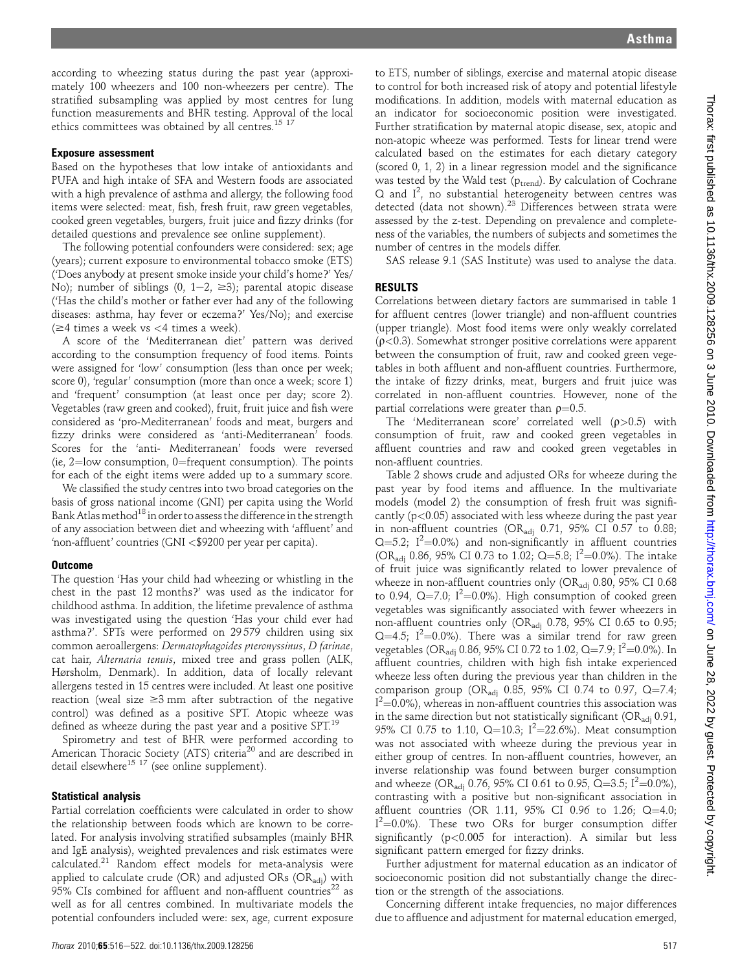according to wheezing status during the past year (approximately 100 wheezers and 100 non-wheezers per centre). The stratified subsampling was applied by most centres for lung function measurements and BHR testing. Approval of the local ethics committees was obtained by all centres.<sup>15 17</sup>

## Exposure assessment

Based on the hypotheses that low intake of antioxidants and PUFA and high intake of SFA and Western foods are associated with a high prevalence of asthma and allergy, the following food items were selected: meat, fish, fresh fruit, raw green vegetables, cooked green vegetables, burgers, fruit juice and fizzy drinks (for detailed questions and prevalence see online supplement).

The following potential confounders were considered: sex; age (years); current exposure to environmental tobacco smoke (ETS) ('Does anybody at present smoke inside your child's home?' Yes/ No); number of siblings (0,  $1-2$ ,  $\geq 3$ ); parental atopic disease ('Has the child's mother or father ever had any of the following diseases: asthma, hay fever or eczema?' Yes/No); and exercise  $(\geq 4$  times a week vs <4 times a week).

A score of the 'Mediterranean diet' pattern was derived according to the consumption frequency of food items. Points were assigned for 'low' consumption (less than once per week; score 0), 'regular' consumption (more than once a week; score 1) and 'frequent' consumption (at least once per day; score 2). Vegetables (raw green and cooked), fruit, fruit juice and fish were considered as 'pro-Mediterranean' foods and meat, burgers and fizzy drinks were considered as 'anti-Mediterranean' foods. Scores for the 'anti- Mediterranean' foods were reversed (ie,  $2$ =low consumption, 0=frequent consumption). The points for each of the eight items were added up to a summary score.

We classified the study centres into two broad categories on the basis of gross national income (GNI) per capita using the World Bank Atlas method<sup>18</sup> in order to assess the difference in the strength of any association between diet and wheezing with 'affluent' and 'non-affluent' countries (GNI <\$9200 per year per capita).

#### Outcome

The question 'Has your child had wheezing or whistling in the chest in the past 12 months?' was used as the indicator for childhood asthma. In addition, the lifetime prevalence of asthma was investigated using the question 'Has your child ever had asthma?'. SPTs were performed on 29 579 children using six common aeroallergens: Dermatophagoides pteronyssinus, D farinae, cat hair, Alternaria tenuis, mixed tree and grass pollen (ALK, Hørsholm, Denmark). In addition, data of locally relevant allergens tested in 15 centres were included. At least one positive reaction (weal size  $\geq 3$  mm after subtraction of the negative control) was defined as a positive SPT. Atopic wheeze was defined as wheeze during the past year and a positive SPT.<sup>19</sup>

Spirometry and test of BHR were performed according to American Thoracic Society (ATS) criteria<sup>20</sup> and are described in detail elsewhere<sup>15 17</sup> (see online supplement).

# Statistical analysis

Partial correlation coefficients were calculated in order to show the relationship between foods which are known to be correlated. For analysis involving stratified subsamples (mainly BHR and IgE analysis), weighted prevalences and risk estimates were calculated.<sup>21</sup> Random effect models for meta-analysis were applied to calculate crude (OR) and adjusted ORs (OR $_{\text{adj}}$ ) with 95% CIs combined for affluent and non-affluent countries<sup>22</sup> as well as for all centres combined. In multivariate models the potential confounders included were: sex, age, current exposure

to ETS, number of siblings, exercise and maternal atopic disease to control for both increased risk of atopy and potential lifestyle modifications. In addition, models with maternal education as an indicator for socioeconomic position were investigated. Further stratification by maternal atopic disease, sex, atopic and non-atopic wheeze was performed. Tests for linear trend were calculated based on the estimates for each dietary category (scored 0, 1, 2) in a linear regression model and the significance was tested by the Wald test  $(p_{trend})$ . By calculation of Cochrane  $Q$  and  $I^2$ , no substantial heterogeneity between centres was detected (data not shown).<sup>23</sup> Differences between strata were assessed by the z-test. Depending on prevalence and completeness of the variables, the numbers of subjects and sometimes the number of centres in the models differ.

SAS release 9.1 (SAS Institute) was used to analyse the data.

# RESULTS

Correlations between dietary factors are summarised in table 1 for affluent centres (lower triangle) and non-affluent countries (upper triangle). Most food items were only weakly correlated ( $p$ <0.3). Somewhat stronger positive correlations were apparent between the consumption of fruit, raw and cooked green vegetables in both affluent and non-affluent countries. Furthermore, the intake of fizzy drinks, meat, burgers and fruit juice was correlated in non-affluent countries. However, none of the partial correlations were greater than  $p=0.5$ .

The 'Mediterranean score' correlated well  $(p>0.5)$  with consumption of fruit, raw and cooked green vegetables in affluent countries and raw and cooked green vegetables in non-affluent countries.

Table 2 shows crude and adjusted ORs for wheeze during the past year by food items and affluence. In the multivariate models (model 2) the consumption of fresh fruit was significantly (p<0.05) associated with less wheeze during the past year in non-affluent countries (OR<sub>adj</sub> 0.71, 95% CI 0.57 to 0.88;  $Q=5.2$ ;  $I^2=0.0\%$ ) and non-significantly in affluent countries (OR<sub>adj</sub> 0.86, 95% CI 0.73 to 1.02; Q=5.8; I<sup>2</sup>=0.0%). The intake of fruit juice was significantly related to lower prevalence of wheeze in non-affluent countries only (ORadj 0.80, 95% CI 0.68 to 0.94,  $Q=7.0$ ;  $I^2=0.0$ %). High consumption of cooked green vegetables was significantly associated with fewer wheezers in non-affluent countries only (OR<sub>adi</sub> 0.78, 95% CI 0.65 to 0.95;  $Q=4.5$ ;  $I^2=0.0\%$ ). There was a similar trend for raw green vegetables (OR<sub>adj</sub> 0.86, 95% CI 0.72 to 1.02, Q=7.9; I<sup>2</sup>=0.0%). In affluent countries, children with high fish intake experienced wheeze less often during the previous year than children in the comparison group (OR<sub>adj</sub> 0.85, 95% CI 0.74 to 0.97, Q=7.4;  $I^2$ =0.0%), whereas in non-affluent countries this association was in the same direction but not statistically significant (ORadj 0.91, 95% CI 0.75 to 1.10, Q=10.3;  $I^2 = 22.6\%$ ). Meat consumption was not associated with wheeze during the previous year in either group of centres. In non-affluent countries, however, an inverse relationship was found between burger consumption and wheeze (OR<sub>adj</sub> 0.76, 95% CI 0.61 to 0.95, Q=3.5; I<sup>2</sup>=0.0%), contrasting with a positive but non-significant association in affluent countries (OR 1.11, 95% CI 0.96 to 1.26; Q=4.0;  $I^2=0.0\%$ ). These two ORs for burger consumption differ significantly ( $p < 0.005$  for interaction). A similar but less significant pattern emerged for fizzy drinks.

Further adjustment for maternal education as an indicator of socioeconomic position did not substantially change the direction or the strength of the associations.

Concerning different intake frequencies, no major differences due to affluence and adjustment for maternal education emerged,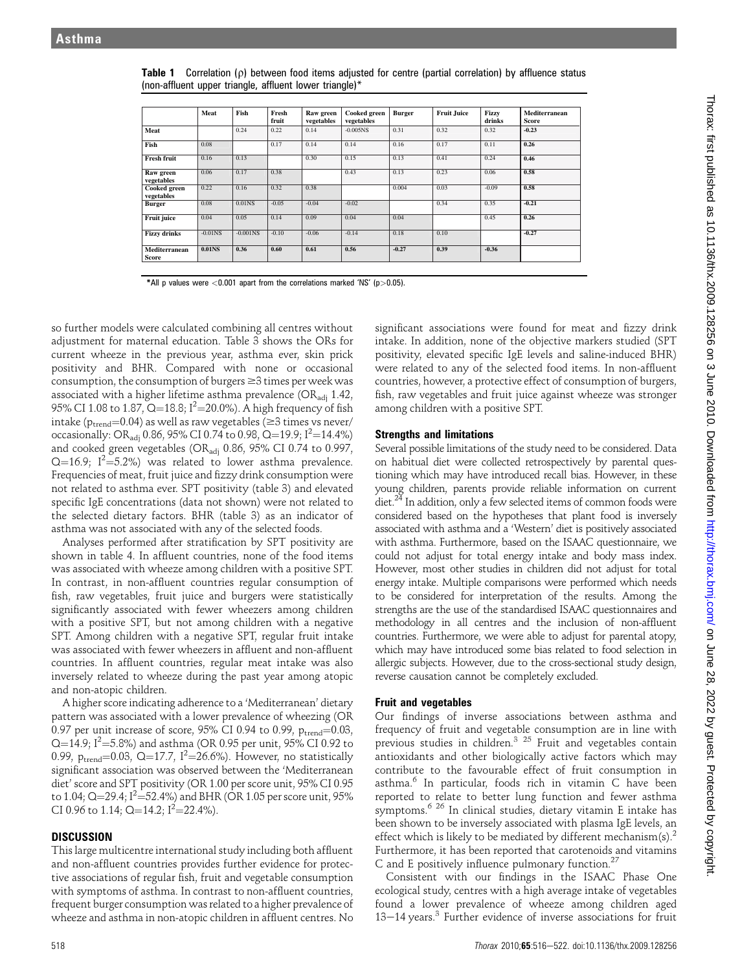|                                   | Meat               | Fish               | Fresh<br>fruit | Raw green<br>vegetables | <b>Cooked green</b><br>vegetables | <b>Burger</b> | <b>Fruit Juice</b> | Fizzy<br>drinks | Mediterranean<br>Score |
|-----------------------------------|--------------------|--------------------|----------------|-------------------------|-----------------------------------|---------------|--------------------|-----------------|------------------------|
| Meat                              |                    | 0.24               | 0.22           | 0.14                    | $-0.005NS$                        | 0.31          | 0.32               | 0.32            | $-0.23$                |
| Fish                              | 0.08               |                    | 0.17           | 0.14                    | 0.14                              | 0.16          | 0.17               | 0.11            | 0.26                   |
| <b>Fresh fruit</b>                | 0.16               | 0.13               |                | 0.30                    | 0.15                              | 0.13          | 0.41               | 0.24            | 0.46                   |
| Raw green<br>vegetables           | 0.06               | 0.17               | 0.38           |                         | 0.43                              | 0.13          | 0.23               | 0.06            | 0.58                   |
| <b>Cooked green</b><br>vegetables | 0.22               | 0.16               | 0.32           | 0.38                    |                                   | 0.004         | 0.03               | $-0.09$         | 0.58                   |
| <b>Burger</b>                     | 0.08               | 0.01 <sub>NS</sub> | $-0.05$        | $-0.04$                 | $-0.02$                           |               | 0.34               | 0.35            | $-0.21$                |
| Fruit juice                       | 0.04               | 0.05               | 0.14           | 0.09                    | 0.04                              | 0.04          |                    | 0.45            | 0.26                   |
| <b>Fizzy drinks</b>               | $-0.01NS$          | $-0.001NS$         | $-0.10$        | $-0.06$                 | $-0.14$                           | 0.18          | 0.10               |                 | $-0.27$                |
| Mediterranean<br>Score            | 0.01 <sub>NS</sub> | 0.36               | 0.60           | 0.61                    | 0.56                              | $-0.27$       | 0.39               | $-0.36$         |                        |

**Table 1** Correlation ( $\rho$ ) between food items adjusted for centre (partial correlation) by affluence status (non-affluent upper triangle, affluent lower triangle)\*

\*All p values were  $<$  0.001 apart from the correlations marked 'NS' (p $>$  0.05).

so further models were calculated combining all centres without adjustment for maternal education. Table 3 shows the ORs for current wheeze in the previous year, asthma ever, skin prick positivity and BHR. Compared with none or occasional consumption, the consumption of burgers  $\geq 3$  times per week was associated with a higher lifetime asthma prevalence (ORadi 1.42, 95% CI 1.08 to 1.87, Q=18.8; I<sup>2</sup>=20.0%). A high frequency of fish intake ( $p_{\text{trend}}$ =0.04) as well as raw vegetables ( $\geq$ 3 times vs never/ occasionally: OR<sub>adj</sub> 0.86, 95% CI 0.74 to 0.98, Q=19.9; I<sup>2</sup>=14.4%) and cooked green vegetables (OR<sub>adi</sub> 0.86, 95% CI 0.74 to 0.997,  $Q=16.9;$   $I^2=5.2%$ ) was related to lower asthma prevalence. Frequencies of meat, fruit juice and fizzy drink consumption were not related to asthma ever. SPT positivity (table 3) and elevated specific IgE concentrations (data not shown) were not related to the selected dietary factors. BHR (table 3) as an indicator of asthma was not associated with any of the selected foods.

Analyses performed after stratification by SPT positivity are shown in table 4. In affluent countries, none of the food items was associated with wheeze among children with a positive SPT. In contrast, in non-affluent countries regular consumption of fish, raw vegetables, fruit juice and burgers were statistically significantly associated with fewer wheezers among children with a positive SPT, but not among children with a negative SPT. Among children with a negative SPT, regular fruit intake was associated with fewer wheezers in affluent and non-affluent countries. In affluent countries, regular meat intake was also inversely related to wheeze during the past year among atopic and non-atopic children.

A higher score indicating adherence to a 'Mediterranean' dietary pattern was associated with a lower prevalence of wheezing (OR 0.97 per unit increase of score, 95% CI 0.94 to 0.99,  $p_{\text{trend}} = 0.03$ , Q=14.9; I<sup>2</sup>=5.8%) and asthma (OR 0.95 per unit, 95% CI 0.92 to 0.99,  $p_{\text{trend}} = 0.03$ , Q=17.7, I<sup>2</sup>=26.6%). However, no statistically significant association was observed between the 'Mediterranean diet' score and SPT positivity (OR 1.00 per score unit, 95% CI 0.95 to 1.04; Q=29.4; I<sup>2</sup>=52.4%) and BHR (OR 1.05 per score unit, 95% CI 0.96 to 1.14; Q=14.2; I<sup>2</sup>=22.4%).

# **DISCUSSION**

This large multicentre international study including both affluent and non-affluent countries provides further evidence for protective associations of regular fish, fruit and vegetable consumption with symptoms of asthma. In contrast to non-affluent countries, frequent burger consumption was related to a higher prevalence of wheeze and asthma in non-atopic children in affluent centres. No

significant associations were found for meat and fizzy drink intake. In addition, none of the objective markers studied (SPT positivity, elevated specific IgE levels and saline-induced BHR) were related to any of the selected food items. In non-affluent countries, however, a protective effect of consumption of burgers, fish, raw vegetables and fruit juice against wheeze was stronger among children with a positive SPT.

# Strengths and limitations

Several possible limitations of the study need to be considered. Data on habitual diet were collected retrospectively by parental questioning which may have introduced recall bias. However, in these young children, parents provide reliable information on current diet. $24$  In addition, only a few selected items of common foods were considered based on the hypotheses that plant food is inversely associated with asthma and a 'Western' diet is positively associated with asthma. Furthermore, based on the ISAAC questionnaire, we could not adjust for total energy intake and body mass index. However, most other studies in children did not adjust for total energy intake. Multiple comparisons were performed which needs to be considered for interpretation of the results. Among the strengths are the use of the standardised ISAAC questionnaires and methodology in all centres and the inclusion of non-affluent countries. Furthermore, we were able to adjust for parental atopy, which may have introduced some bias related to food selection in allergic subjects. However, due to the cross-sectional study design, reverse causation cannot be completely excluded.

# Fruit and vegetables

Our findings of inverse associations between asthma and frequency of fruit and vegetable consumption are in line with previous studies in children.<sup>3</sup> <sup>25</sup> Fruit and vegetables contain antioxidants and other biologically active factors which may contribute to the favourable effect of fruit consumption in asthma.<sup>6</sup> In particular, foods rich in vitamin C have been reported to relate to better lung function and fewer asthma symptoms.<sup>6 26</sup> In clinical studies, dietary vitamin E intake has been shown to be inversely associated with plasma IgE levels, an effect which is likely to be mediated by different mechanism(s).<sup>2</sup> Furthermore, it has been reported that carotenoids and vitamins C and E positively influence pulmonary function.<sup>27</sup>

Consistent with our findings in the ISAAC Phase One ecological study, centres with a high average intake of vegetables found a lower prevalence of wheeze among children aged  $13-14$  years.<sup>3</sup> Further evidence of inverse associations for fruit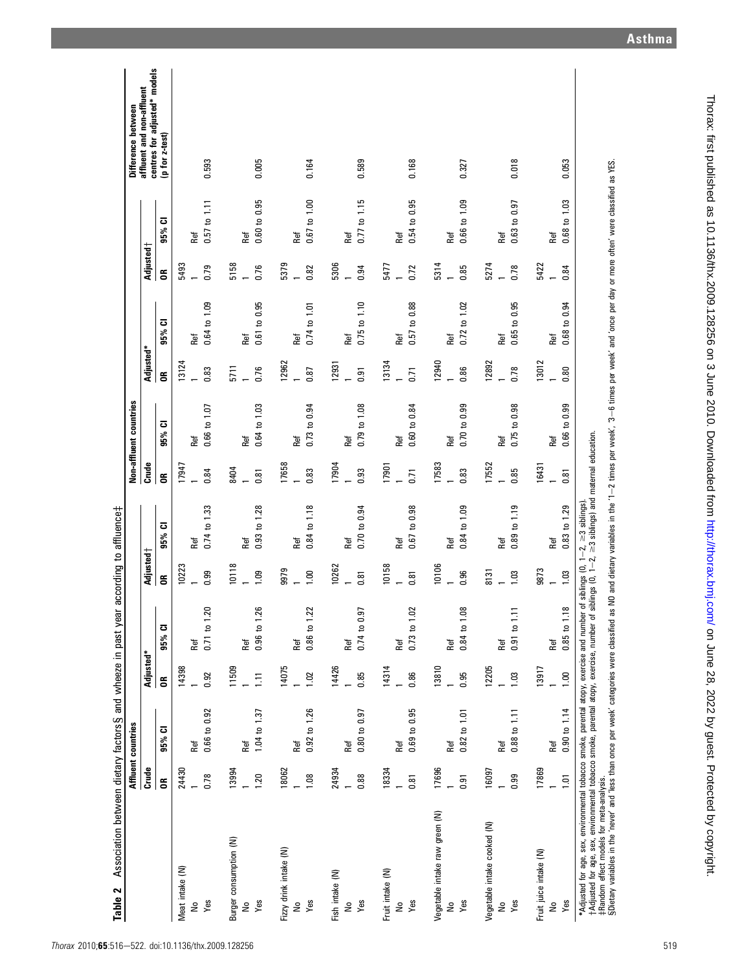| Adjusted*<br>11509<br>14075<br>14314<br>14398<br>14426<br>0.85<br>0.92<br>1.02<br>1.11<br>g<br>0.66 to 0.92<br>0.92 to 1.26<br>1.04 to 1.37<br>0.80 to 0.97<br>95% CI                | 0.96 to 1.26<br>0.71 to 1.20<br>0.86 to 1.22<br>95% CI<br>Ref<br>Ref<br>Ref<br>Ref | Adjusted †<br>10118<br>10223<br>10262<br>9979<br>0.99<br>1.09<br>1.00<br>g | 0.74 to 1.33<br>ਹ<br>95%<br>Ref | Crude<br>17947<br>$\epsilon$                                                               | 95% CI                | Adjusted*                                                    |                         | Adjusted† |                       | centres for adjusted* models<br>affluent and non-affluent                                                                                                                                                                      |
|--------------------------------------------------------------------------------------------------------------------------------------------------------------------------------------|------------------------------------------------------------------------------------|----------------------------------------------------------------------------|---------------------------------|--------------------------------------------------------------------------------------------|-----------------------|--------------------------------------------------------------|-------------------------|-----------|-----------------------|--------------------------------------------------------------------------------------------------------------------------------------------------------------------------------------------------------------------------------|
|                                                                                                                                                                                      |                                                                                    |                                                                            |                                 |                                                                                            |                       |                                                              |                         |           |                       |                                                                                                                                                                                                                                |
|                                                                                                                                                                                      |                                                                                    |                                                                            |                                 |                                                                                            |                       | g                                                            | 95% CI                  | g         | ਠ<br>95%              | (p for z-test)                                                                                                                                                                                                                 |
|                                                                                                                                                                                      |                                                                                    |                                                                            |                                 |                                                                                            |                       | 13124                                                        |                         | 5493      |                       |                                                                                                                                                                                                                                |
|                                                                                                                                                                                      |                                                                                    |                                                                            |                                 |                                                                                            | Ref                   |                                                              | Ref                     |           | <b>Ref</b>            |                                                                                                                                                                                                                                |
|                                                                                                                                                                                      |                                                                                    |                                                                            |                                 | 0.84                                                                                       | 0.66 to 1.07          | 0.83                                                         | 0.64 to 1.09            | 0.79      | $0.57$ to $1.11$      | 0.593                                                                                                                                                                                                                          |
|                                                                                                                                                                                      |                                                                                    |                                                                            |                                 | 8404                                                                                       |                       | 5711                                                         |                         | 5158      |                       |                                                                                                                                                                                                                                |
|                                                                                                                                                                                      |                                                                                    |                                                                            | Ref                             |                                                                                            | Ref                   |                                                              | Ref                     |           | Ref                   |                                                                                                                                                                                                                                |
|                                                                                                                                                                                      |                                                                                    |                                                                            | $0.93$ to $1.28$                | 0.81                                                                                       | 0.64 to 1.03          | 0.76                                                         | to 0.95<br>0.61         | 0.76      | 0.95<br>₽<br>0.60     | 0.005                                                                                                                                                                                                                          |
|                                                                                                                                                                                      |                                                                                    |                                                                            |                                 | 17658                                                                                      |                       | 12962                                                        |                         | 5379      |                       |                                                                                                                                                                                                                                |
|                                                                                                                                                                                      |                                                                                    |                                                                            | Ref                             |                                                                                            | Ref                   |                                                              | Ref                     |           | Ref                   |                                                                                                                                                                                                                                |
|                                                                                                                                                                                      |                                                                                    |                                                                            | to 1.18<br>0.84                 | 0.83                                                                                       | 0.73 to 0.94          | 0.87                                                         | to 1.01<br>0.74         | 0.82      | to $1.00$<br>0.67     | 0.164                                                                                                                                                                                                                          |
|                                                                                                                                                                                      |                                                                                    |                                                                            |                                 | 17904                                                                                      |                       | 12931                                                        |                         | 5306      |                       |                                                                                                                                                                                                                                |
|                                                                                                                                                                                      |                                                                                    |                                                                            | Ref                             |                                                                                            | Ref                   |                                                              | Ref                     |           | <b>Ref</b>            |                                                                                                                                                                                                                                |
|                                                                                                                                                                                      | 0.74 to 0.97                                                                       | 0.81                                                                       | $0.70$ to $0.94$                | 0.93                                                                                       | $0.79$ to $1.08$      | 0.91                                                         | $0.75$ to $1.10$        | 0.94      | $\times 1.15$<br>0.77 | 0.589                                                                                                                                                                                                                          |
|                                                                                                                                                                                      |                                                                                    | 10158                                                                      |                                 | 17901                                                                                      |                       | 13134                                                        |                         | 5477      |                       |                                                                                                                                                                                                                                |
|                                                                                                                                                                                      | Ref                                                                                |                                                                            | Ref                             |                                                                                            | Ref                   |                                                              | Ref                     |           | Ref                   |                                                                                                                                                                                                                                |
| 0.86<br>0.69 to 0.95                                                                                                                                                                 | 0.73 to 1.02                                                                       | 0.81                                                                       | 0.67 to 0.98                    | 0.71                                                                                       | 0.60 to 0.84          | 0.71                                                         | 0.57 to 0.88            | 0.72      | to 0.95<br>0.54       | 0.168                                                                                                                                                                                                                          |
| 13810                                                                                                                                                                                |                                                                                    | 10106                                                                      |                                 | 17583                                                                                      |                       | 12940                                                        |                         | 5314      |                       |                                                                                                                                                                                                                                |
|                                                                                                                                                                                      | Ref                                                                                |                                                                            | Ref                             |                                                                                            | Ref                   |                                                              | Ref                     |           | Ref                   |                                                                                                                                                                                                                                |
| 0.95<br>$0.82$ to $1.01$                                                                                                                                                             | 0.84 to 1.08                                                                       | 0.96                                                                       | to 1.09<br>0.84                 | 0.83                                                                                       | $0.70$ to $0.99$      | 0.86                                                         | $0.72 \text{ to } 1.02$ | 0.85      | to 1.09<br>0.66       | 0.327                                                                                                                                                                                                                          |
| 12205                                                                                                                                                                                |                                                                                    | 8131                                                                       |                                 |                                                                                            |                       | 12892                                                        |                         | 5274      |                       |                                                                                                                                                                                                                                |
|                                                                                                                                                                                      | Ref                                                                                |                                                                            |                                 |                                                                                            | Ref                   |                                                              | Ref                     |           | Ref                   |                                                                                                                                                                                                                                |
| 1.03<br>0.88 to 1.11                                                                                                                                                                 | $0.91$ to $1.1$                                                                    | 1.03                                                                       |                                 |                                                                                            | 0.75 to 0.98          | 0.78                                                         | 0.65 to 0.95            | 0.78      | $t_0$ 0.97<br>0.63    | 0.018                                                                                                                                                                                                                          |
| 13917                                                                                                                                                                                |                                                                                    | 9873                                                                       |                                 | 16431                                                                                      |                       | 13012                                                        |                         |           |                       |                                                                                                                                                                                                                                |
|                                                                                                                                                                                      | Ref                                                                                |                                                                            |                                 |                                                                                            | Ref                   |                                                              | Ref                     |           | Ref                   |                                                                                                                                                                                                                                |
| 1.00<br>$0.90$ to $1.14$                                                                                                                                                             | 0.85 to 1.18                                                                       | 1.03                                                                       |                                 |                                                                                            | 0.66 to 0.99          | 0.80                                                         | to $0.94$<br>0.68       | 0.84      | to 1.03<br>0.68       | 0.053                                                                                                                                                                                                                          |
| *Adjusted for age, sex, environmental tobacco smoke, parental atopy, exercise and number<br>†Adjusted for age, sex, environmental tobacco smoke, parental atopy, exercise, number of |                                                                                    |                                                                            |                                 |                                                                                            |                       |                                                              |                         |           |                       |                                                                                                                                                                                                                                |
|                                                                                                                                                                                      |                                                                                    |                                                                            |                                 | of siblings $(0, 1-2, \geq 3$ siblings).<br>$0.89$ to $1.19$<br>0.83 to 1.29<br>Ref<br>Ref | 17552<br>0.85<br>0.81 | siblings $(0, 1-2, \geq 3$ siblings) and maternal education. |                         |           | 5422                  | SDietary variables in the 'never' and 'less than once per week' categories were classified as NO and dietary variables in the '1-2 times per week', '3-6 times per week' and 'once per day or more often' were classified as Y |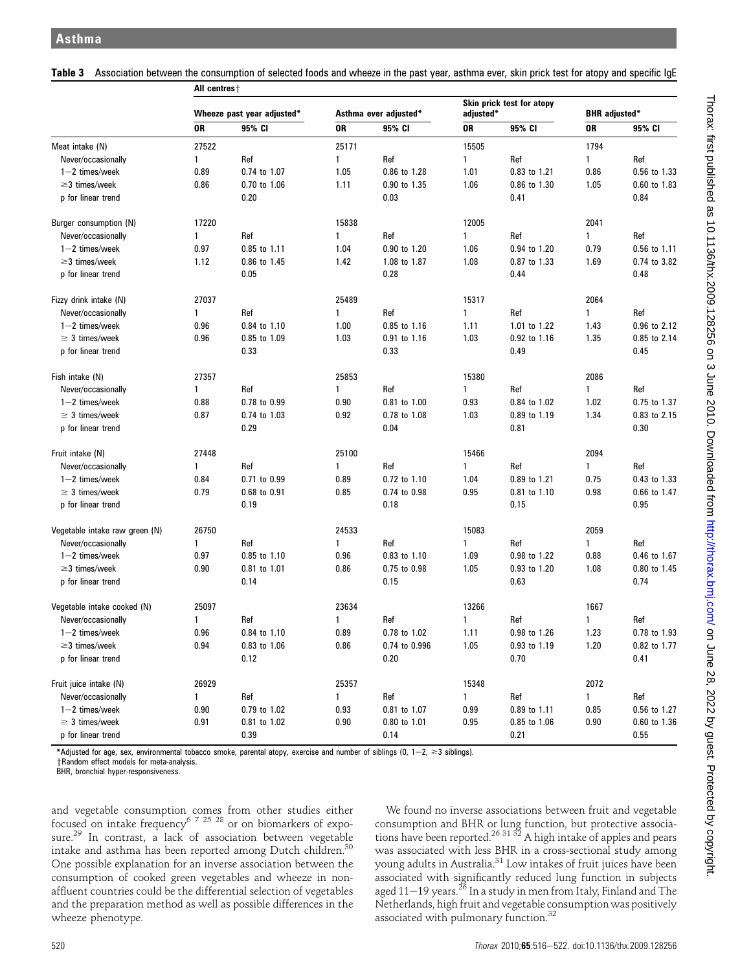|                                | All centres +              |              |                       |               |              |                           |                      |              |
|--------------------------------|----------------------------|--------------|-----------------------|---------------|--------------|---------------------------|----------------------|--------------|
|                                | Wheeze past year adjusted* |              | Asthma ever adjusted* |               | adjusted*    | Skin prick test for atopy | <b>BHR</b> adjusted* |              |
|                                | <b>OR</b>                  | 95% CI       | 0R                    | 95% CI        | <b>OR</b>    | 95% CI                    | 0R                   | 95% CI       |
| Meat intake (N)                | 27522                      |              | 25171                 |               | 15505        |                           | 1794                 |              |
| Never/occasionally             | $\mathbf{1}$               | Ref          | $\mathbf{1}$          | Ref           | $\mathbf{1}$ | Ref                       | 1                    | Ref          |
| $1-2$ times/week               | 0.89                       | 0.74 to 1.07 | 1.05                  | 0.86 to 1.28  | 1.01         | 0.83 to 1.21              | 0.86                 | 0.56 to 1.33 |
| $\geq$ 3 times/week            | 0.86                       | 0.70 to 1.06 | 1.11                  | 0.90 to 1.35  | 1.06         | 0.86 to 1.30              | 1.05                 | 0.60 to 1.83 |
| p for linear trend             |                            | 0.20         |                       | 0.03          |              | 0.41                      |                      | 0.84         |
| Burger consumption (N)         | 17220                      |              | 15838                 |               | 12005        |                           | 2041                 |              |
| Never/occasionally             | 1                          | Ref          | 1                     | Ref           | $\mathbf{1}$ | Ref                       | 1                    | Ref          |
| $1-2$ times/week               | 0.97                       | 0.85 to 1.11 | 1.04                  | 0.90 to 1.20  | 1.06         | 0.94 to 1.20              | 0.79                 | 0.56 to 1.11 |
| $\geq$ 3 times/week            | 1.12                       | 0.86 to 1.45 | 1.42                  | 1.08 to 1.87  | 1.08         | 0.87 to 1.33              | 1.69                 | 0.74 to 3.82 |
| p for linear trend             |                            | 0.05         |                       | 0.28          |              | 0.44                      |                      | 0.48         |
| Fizzy drink intake (N)         | 27037                      |              | 25489                 |               | 15317        |                           | 2064                 |              |
| Never/occasionally             | $\mathbf{1}$               | Ref          | $\mathbf{1}$          | Ref           | $\mathbf{1}$ | Ref                       | $\mathbf{1}$         | Ref          |
| $1-2$ times/week               | 0.96                       | 0.84 to 1.10 | 1.00                  | 0.85 to 1.16  | 1.11         | 1.01 to 1.22              | 1.43                 | 0.96 to 2.12 |
| $\geq$ 3 times/week            | 0.96                       | 0.85 to 1.09 | 1.03                  | 0.91 to 1.16  | 1.03         | 0.92 to 1.16              | 1.35                 | 0.85 to 2.14 |
| p for linear trend             |                            | 0.33         |                       | 0.33          |              | 0.49                      |                      | 0.45         |
| Fish intake (N)                | 27357                      |              | 25853                 |               | 15380        |                           | 2086                 |              |
| Never/occasionally             | 1                          | Ref          | 1                     | Ref           | $\mathbf{1}$ | Ref                       | 1                    | Ref          |
| $1-2$ times/week               | 0.88                       | 0.78 to 0.99 | 0.90                  | 0.81 to 1.00  | 0.93         | 0.84 to 1.02              | 1.02                 | 0.75 to 1.37 |
| $\geq$ 3 times/week            | 0.87                       | 0.74 to 1.03 | 0.92                  | 0.78 to 1.08  | 1.03         | 0.89 to 1.19              | 1.34                 | 0.83 to 2.15 |
| p for linear trend             |                            | 0.29         |                       | 0.04          |              | 0.81                      |                      | 0.30         |
| Fruit intake (N)               | 27448                      |              | 25100                 |               | 15466        |                           | 2094                 |              |
| Never/occasionally             | $\mathbf{1}$               | Ref          | $\mathbf{1}$          | Ref           | $\mathbf{1}$ | Ref                       | 1                    | Ref          |
| $1-2$ times/week               | 0.84                       | 0.71 to 0.99 | 0.89                  | 0.72 to 1.10  | 1.04         | 0.89 to 1.21              | 0.75                 | 0.43 to 1.33 |
| $\geq$ 3 times/week            | 0.79                       | 0.68 to 0.91 | 0.85                  | 0.74 to 0.98  | 0.95         | 0.81 to 1.10              | 0.98                 | 0.66 to 1.47 |
| p for linear trend             |                            | 0.19         |                       | 0.18          |              | 0.15                      |                      | 0.95         |
| Vegetable intake raw green (N) | 26750                      |              | 24533                 |               | 15083        |                           | 2059                 |              |
| Never/occasionally             | 1                          | Ref          | $\mathbf{1}$          | Ref           | $\mathbf{1}$ | Ref                       | 1                    | Ref          |
| $1-2$ times/week               | 0.97                       | 0.85 to 1.10 | 0.96                  | 0.83 to 1.10  | 1.09         | 0.98 to 1.22              | 0.88                 | 0.46 to 1.67 |
| $\geq$ 3 times/week            | 0.90                       | 0.81 to 1.01 | 0.86                  | 0.75 to 0.98  | 1.05         | 0.93 to 1.20              | 1.08                 | 0.80 to 1.45 |
| p for linear trend             |                            | 0.14         |                       | 0.15          |              | 0.63                      |                      | 0.74         |
| Vegetable intake cooked (N)    | 25097                      |              | 23634                 |               | 13266        |                           | 1667                 |              |
| Never/occasionally             | 1                          | Ref          | $\mathbf{1}$          | Ref           | $\mathbf{1}$ | Ref                       | 1                    | Ref          |
| $1-2$ times/week               | 0.96                       | 0.84 to 1.10 | 0.89                  | 0.78 to 1.02  | 1.11         | 0.98 to 1.26              | 1.23                 | 0.78 to 1.93 |
| $\geq$ 3 times/week            | 0.94                       | 0.83 to 1.06 | 0.86                  | 0.74 to 0.996 | 1.05         | 0.93 to 1.19              | 1.20                 | 0.82 to 1.77 |
| p for linear trend             |                            | 0.12         |                       | 0.20          |              | 0.70                      |                      | 0.41         |
| Fruit juice intake (N)         | 26929                      |              | 25357                 |               | 15348        |                           | 2072                 |              |
| Never/occasionally             | $\mathbf{1}$               | Ref          | $\mathbf{1}$          | Ref           | $\mathbf{1}$ | Ref                       | $\mathbf{1}$         | Ref          |
| $1-2$ times/week               | 0.90                       | 0.79 to 1.02 | 0.93                  | 0.81 to 1.07  | 0.99         | 0.89 to 1.11              | 0.85                 | 0.56 to 1.27 |
| $\geq 3$ times/week            | 0.91                       | 0.81 to 1.02 | 0.90                  | 0.80 to 1.01  | 0.95         | 0.85 to 1.06              | 0.90                 | 0.60 to 1.36 |
| p for linear trend             |                            | 0.39         |                       | 0.14          |              | 0.21                      |                      | 0.55         |

Table 3 Association between the consumption of selected foods and wheeze in the past year, asthma ever, skin prick test for atopy and specific IgE

\*Adjusted for age, sex, environmental tobacco smoke, parental atopy, exercise and number of siblings (0,  $1-2$ ,  $\geq$ 3 siblings).

yRandom effect models for meta-analysis.

BHR, bronchial hyper-responsiveness.

and vegetable consumption comes from other studies either focused on intake frequency  $672528$  or on biomarkers of exposure.<sup>29</sup> In contrast, a lack of association between vegetable intake and asthma has been reported among Dutch children.<sup>30</sup> One possible explanation for an inverse association between the consumption of cooked green vegetables and wheeze in nonaffluent countries could be the differential selection of vegetables and the preparation method as well as possible differences in the wheeze phenotype.

We found no inverse associations between fruit and vegetable consumption and BHR or lung function, but protective associations have been reported.<sup>26 31 32</sup> A high intake of apples and pears was associated with less BHR in a cross-sectional study among young adults in Australia.<sup>31</sup> Low intakes of fruit juices have been associated with significantly reduced lung function in subjects aged 11–19 years. $^{26}$  In a study in men from Italy, Finland and The Netherlands, high fruit and vegetable consumption was positively associated with pulmonary function.<sup>32</sup>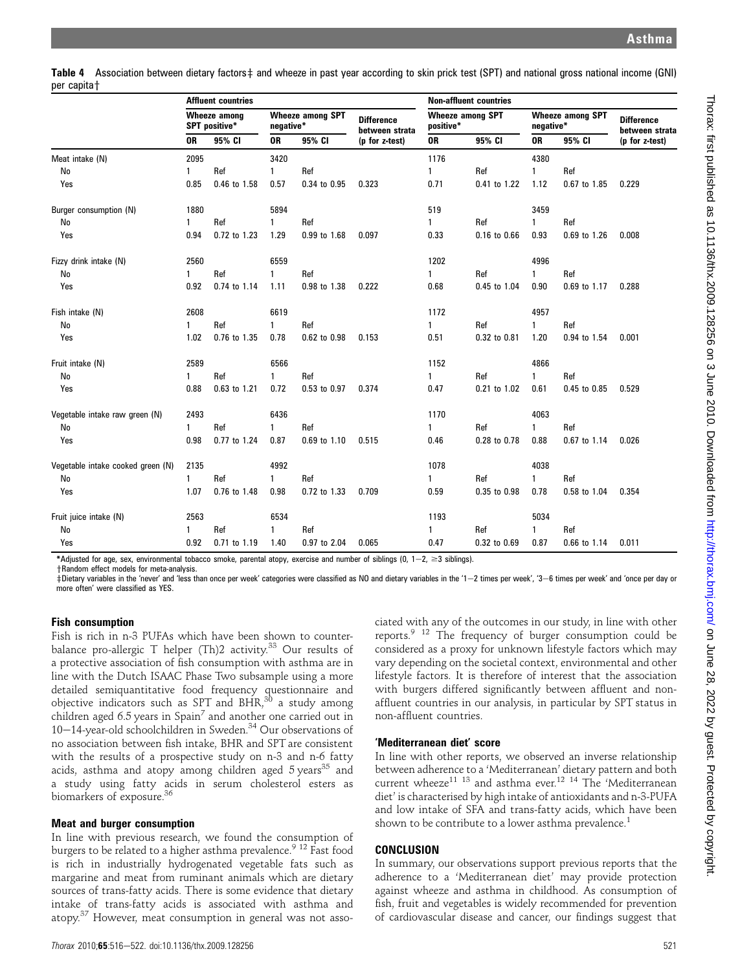Table 4 Association between dietary factors‡ and wheeze in past year according to skin prick test (SPT) and national gross national income (GNI) per capita<sup>+</sup>

|                                   | <b>Affluent countries</b>            |              |              |                         |                                     | <b>Non-affluent countries</b> |                         |                                      |              |                                     |  |
|-----------------------------------|--------------------------------------|--------------|--------------|-------------------------|-------------------------------------|-------------------------------|-------------------------|--------------------------------------|--------------|-------------------------------------|--|
|                                   | Wheeze among<br><b>SPT</b> positive* |              | negative*    | <b>Wheeze among SPT</b> | <b>Difference</b><br>between strata | positive*                     | <b>Wheeze among SPT</b> | <b>Wheeze among SPT</b><br>negative* |              | <b>Difference</b><br>between strata |  |
|                                   | 0R                                   | 95% CI       | 0R           | 95% CI                  | (p for z-test)                      | <b>OR</b>                     | 95% CI                  | <b>OR</b>                            | 95% CI       | (p for z-test)                      |  |
| Meat intake (N)                   | 2095                                 |              | 3420         |                         |                                     | 1176                          |                         | 4380                                 |              |                                     |  |
| No                                | 1                                    | Ref          | 1            | Ref                     |                                     | $\mathbf{1}$                  | Ref                     | $\mathbf{1}$                         | Ref          |                                     |  |
| Yes                               | 0.85                                 | 0.46 to 1.58 | 0.57         | 0.34 to 0.95            | 0.323                               | 0.71                          | 0.41 to 1.22            | 1.12                                 | 0.67 to 1.85 | 0.229                               |  |
| Burger consumption (N)            | 1880                                 |              | 5894         |                         |                                     | 519                           |                         | 3459                                 |              |                                     |  |
| No                                | 1                                    | Ref          | $\mathbf{1}$ | Ref                     |                                     | $\mathbf{1}$                  | Ref                     | $\mathbf{1}$                         | Ref          |                                     |  |
| Yes                               | 0.94                                 | 0.72 to 1.23 | 1.29         | 0.99 to 1.68            | 0.097                               | 0.33                          | 0.16 to 0.66            | 0.93                                 | 0.69 to 1.26 | 0.008                               |  |
| Fizzy drink intake (N)            | 2560                                 |              | 6559         |                         |                                     | 1202                          |                         | 4996                                 |              |                                     |  |
| No                                | 1                                    | Ref          | 1            | Ref                     |                                     | $\mathbf{1}$                  | Ref                     | $\mathbf{1}$                         | Ref          |                                     |  |
| Yes                               | 0.92                                 | 0.74 to 1.14 | 1.11         | 0.98 to 1.38            | 0.222                               | 0.68                          | 0.45 to 1.04            | 0.90                                 | 0.69 to 1.17 | 0.288                               |  |
| Fish intake (N)                   | 2608                                 |              | 6619         |                         |                                     | 1172                          |                         | 4957                                 |              |                                     |  |
| No                                | 1                                    | Ref          | $\mathbf{1}$ | Ref                     |                                     | $\mathbf{1}$                  | Ref                     | $\mathbf{1}$                         | Ref          |                                     |  |
| Yes                               | 1.02                                 | 0.76 to 1.35 | 0.78         | 0.62 to 0.98            | 0.153                               | 0.51                          | 0.32 to 0.81            | 1.20                                 | 0.94 to 1.54 | 0.001                               |  |
| Fruit intake (N)                  | 2589                                 |              | 6566         |                         |                                     | 1152                          |                         | 4866                                 |              |                                     |  |
| No                                | 1                                    | Ref          | $\mathbf{1}$ | Ref                     |                                     | $\mathbf{1}$                  | Ref                     | $\mathbf{1}$                         | Ref          |                                     |  |
| Yes                               | 0.88                                 | 0.63 to 1.21 | 0.72         | 0.53 to 0.97            | 0.374                               | 0.47                          | 0.21 to 1.02            | 0.61                                 | 0.45 to 0.85 | 0.529                               |  |
| Vegetable intake raw green (N)    | 2493                                 |              | 6436         |                         |                                     | 1170                          |                         | 4063                                 |              |                                     |  |
| No                                | 1                                    | Ref          | 1            | Ref                     |                                     | $\mathbf{1}$                  | Ref                     | $\mathbf{1}$                         | Ref          |                                     |  |
| Yes                               | 0.98                                 | 0.77 to 1.24 | 0.87         | 0.69 to 1.10            | 0.515                               | 0.46                          | 0.28 to 0.78            | 0.88                                 | 0.67 to 1.14 | 0.026                               |  |
| Vegetable intake cooked green (N) | 2135                                 |              | 4992         |                         |                                     | 1078                          |                         | 4038                                 |              |                                     |  |
| No                                | 1                                    | Ref          | 1            | Ref                     |                                     | $\mathbf{1}$                  | Ref                     | $\mathbf{1}$                         | Ref          |                                     |  |
| Yes                               | 1.07                                 | 0.76 to 1.48 | 0.98         | 0.72 to 1.33            | 0.709                               | 0.59                          | 0.35 to 0.98            | 0.78                                 | 0.58 to 1.04 | 0.354                               |  |
| Fruit juice intake (N)            | 2563                                 |              | 6534         |                         |                                     | 1193                          |                         | 5034                                 |              |                                     |  |
| No                                | 1                                    | Ref          | $\mathbf{1}$ | Ref                     |                                     | 1                             | Ref                     | $\mathbf{1}$                         | Ref          |                                     |  |
| Yes                               | 0.92                                 | 0.71 to 1.19 | 1.40         | 0.97 to 2.04            | 0.065                               | 0.47                          | 0.32 to 0.69            | 0.87                                 | 0.66 to 1.14 | 0.011                               |  |

\*Adjusted for age, sex, environmental tobacco smoke, parental atopy, exercise and number of siblings (0,  $1-2$ ,  $\geq$ 3 siblings).

yRandom effect models for meta-analysis.

<sup>z</sup>Dietary variables in the 'never' and 'less than once per week' categories were classified as NO and dietary variables in the '1e2 times per week', '3e6 times per week' and 'once per day or more often' were classified as YES.

#### Fish consumption

Fish is rich in n-3 PUFAs which have been shown to counterbalance pro-allergic  $T$  helper (Th)2 activity.<sup>33</sup> Our results of a protective association of fish consumption with asthma are in line with the Dutch ISAAC Phase Two subsample using a more detailed semiquantitative food frequency questionnaire and objective indicators such as SPT and BHR, $30$  a study among children aged 6.5 years in  $Spin<sup>7</sup>$  and another one carried out in 10-14-year-old schoolchildren in Sweden. $34$  Our observations of no association between fish intake, BHR and SPT are consistent with the results of a prospective study on n-3 and n-6 fatty acids, asthma and atopy among children aged  $5 \text{ years}^{35}$  and a study using fatty acids in serum cholesterol esters as biomarkers of exposure.<sup>36</sup>

## Meat and burger consumption

In line with previous research, we found the consumption of burgers to be related to a higher asthma prevalence.<sup>9 12</sup> Fast food is rich in industrially hydrogenated vegetable fats such as margarine and meat from ruminant animals which are dietary sources of trans-fatty acids. There is some evidence that dietary intake of trans-fatty acids is associated with asthma and atopy.37 However, meat consumption in general was not associated with any of the outcomes in our study, in line with other reports.9 12 The frequency of burger consumption could be considered as a proxy for unknown lifestyle factors which may vary depending on the societal context, environmental and other lifestyle factors. It is therefore of interest that the association with burgers differed significantly between affluent and nonaffluent countries in our analysis, in particular by SPT status in non-affluent countries.

#### 'Mediterranean diet' score

In line with other reports, we observed an inverse relationship between adherence to a 'Mediterranean' dietary pattern and both current wheeze<sup>11 13</sup> and asthma ever.<sup>12 14</sup> The 'Mediterranean diet' is characterised by high intake of antioxidants and n-3-PUFA and low intake of SFA and trans-fatty acids, which have been shown to be contribute to a lower asthma prevalence.<sup>1</sup>

# **CONCLUSION**

In summary, our observations support previous reports that the adherence to a 'Mediterranean diet' may provide protection against wheeze and asthma in childhood. As consumption of fish, fruit and vegetables is widely recommended for prevention of cardiovascular disease and cancer, our findings suggest that